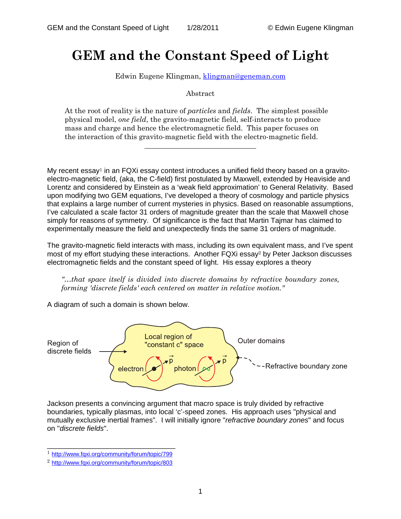## **GEM and the Constant Speed of Light**

Edwin Eugene Klingman, [klingman@geneman.com](mailto:klingman@geneman.com)

Abstract

At the root of reality is the nature of *particles* and *fields*. The simplest possible physical model, *one field*, the gravito-magnetic field, self-interacts to produce mass and charge and hence the electromagnetic field. This paper focuses on the interaction of this gravito-magnetic field with the electro-magnetic field.

\_\_\_\_\_\_\_\_\_\_\_\_\_\_\_\_\_\_\_\_\_\_\_\_\_\_\_\_\_\_\_

My recent essay<sup>1</sup> in an FQXi essay contest introduces a unified field theory based on a gravitoelectro-magnetic field, (aka, the C-field) first postulated by Maxwell, extended by Heaviside and Lorentz and considered by Einstein as a 'weak field approximation' to General Relativity. Based upon modifying two GEM equations, I've developed a theory of cosmology and particle physics that explains a large number of current mysteries in physics. Based on reasonable assumptions, I've calculated a scale factor 31 orders of magnitude greater than the scale that Maxwell chose simply for reasons of symmetry. Of significance is the fact that Martin Tajmar has claimed to experimentally measure the field and unexpectedly finds the same 31 orders of magnitude.

The gravito-magnetic field interacts with mass, including its own equivalent mass, and I've spent most of my effort studying these interactions. Another FQXi essay<sup>2</sup> by Peter Jackson discusses electromagnetic fields and the constant speed of light. His essay explores a theory

*"…that space itself is divided into discrete domains by refractive boundary zones, forming 'discrete fields' each centered on matter in relative motion."* 

A diagram of such a domain is shown below.



Jackson presents a convincing argument that macro space is truly divided by refractive boundaries, typically plasmas, into local 'c'-speed zones. His approach uses "physical and mutually exclusive inertial frames". I will initially ignore "*refractive boundary zones*" and focus on "*discrete fields*".

\_\_\_\_\_\_\_\_\_\_\_\_\_\_\_\_\_\_\_\_\_\_\_\_\_\_\_\_\_\_\_\_ <sup>1</sup> <http://www.fqxi.org/community/forum/topic/799>

<sup>2</sup> <http://www.fqxi.org/community/forum/topic/803>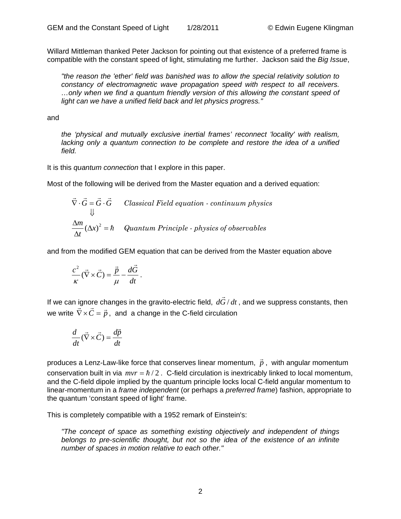Willard Mittleman thanked Peter Jackson for pointing out that existence of a preferred frame is compatible with the constant speed of light, stimulating me further. Jackson said the *Big Issue*,

*"the reason the 'ether' field was banished was to allow the special relativity solution to constancy of electromagnetic wave propagation speed with respect to all receivers. …only when we find a quantum friendly version of this allowing the constant speed of light can we have a unified field back and let physics progress."* 

## and

*the 'physical and mutually exclusive inertial frames' reconnect 'locality' with realism, lacking only a quantum connection to be complete and restore the idea of a unified field.* 

It is this *quantum connection* that I explore in this paper.

Most of the following will be derived from the Master equation and a derived equation:

$$
\vec{\nabla} \cdot \vec{G} = \vec{G} \cdot \vec{G}
$$
 Classical Field equation - continuum physics  
\n
$$
\downarrow
$$
  
\n
$$
\frac{\Delta m}{\Delta t} (\Delta x)^2 = \hbar
$$
Quantum Principle - physics of observables

and from the modified GEM equation that can be derived from the Master equation above

$$
\frac{c^2}{\kappa}(\vec{\nabla}\times\vec{C})=\frac{\vec{p}}{\mu}-\frac{d\vec{G}}{dt}.
$$

If we can ignore changes in the gravito-electric field,  $d\vec{G}/dt$ , and we suppress constants, then we write  $\vec{\nabla} \times \vec{C} = \vec{p}$ , and a change in the C-field circulation

$$
\frac{d}{dt}(\vec{\nabla}\times\vec{C}) = \frac{d\vec{p}}{dt}
$$

produces a Lenz-Law-like force that conserves linear momentum,  $\vec{p}$  , with angular momentum conservation built in via  $mvr = \hbar/2$ . C-field circulation is inextricably linked to local momentum, and the C-field dipole implied by the quantum principle locks local C-field angular momentum to linear-momentum in a *frame independent* (or perhaps a *preferred frame*) fashion, appropriate to the quantum 'constant speed of light' frame.

This is completely compatible with a 1952 remark of Einstein's:

*"The concept of space as something existing objectively and independent of things belongs to pre-scientific thought, but not so the idea of the existence of an infinite number of spaces in motion relative to each other."*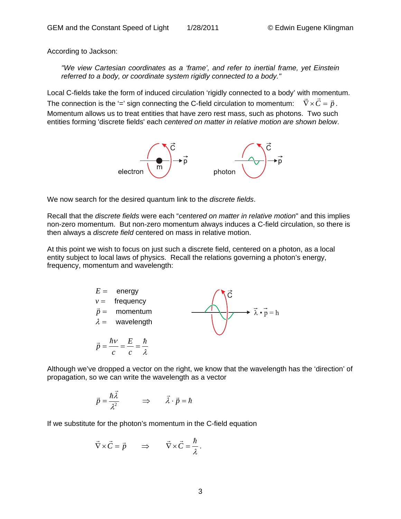According to Jackson:

*"We view Cartesian coordinates as a 'frame', and refer to inertial frame, yet Einstein referred to a body, or coordinate system rigidly connected to a body."* 

Local C-fields take the form of induced circulation 'rigidly connected to a body' with momentum. The connection is the '=' sign connecting the C-field circulation to momentum:  $\vec{\nabla} \times \vec{C} = \vec{p}$ . Momentum allows us to treat entities that have zero rest mass, such as photons. Two such entities forming 'discrete fields' each *centered on matter in relative motion are shown below*.



We now search for the desired quantum link to the *discrete fields*.

Recall that the *discrete fields* were each "*centered on matter in relative motion*" and this implies non-zero momentum. But non-zero momentum always induces a C-field circulation, so there is then always a *discrete field* centered on mass in relative motion.

At this point we wish to focus on just such a discrete field, centered on a photon, as a local entity subject to local laws of physics. Recall the relations governing a photon's energy, frequency, momentum and wavelength:



Although we've dropped a vector on the right, we know that the wavelength has the 'direction' of propagation, so we can write the wavelength as a vector

$$
\vec{p} = \frac{\hbar \vec{\lambda}}{\lambda^2} \qquad \Rightarrow \qquad \vec{\lambda} \cdot \vec{p} = \hbar
$$

If we substitute for the photon's momentum in the C-field equation

$$
\vec{\nabla} \times \vec{C} = \vec{p} \qquad \Rightarrow \qquad \vec{\nabla} \times \vec{C} = \frac{\hbar}{\lambda} \, .
$$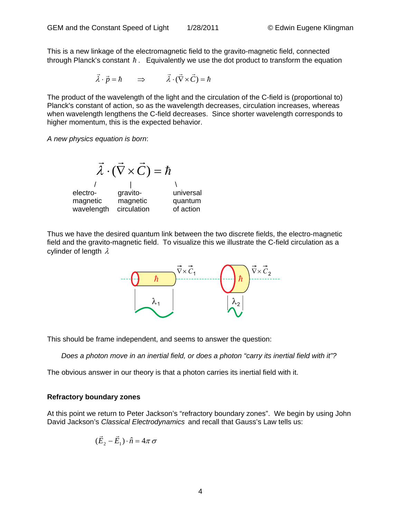This is a new linkage of the electromagnetic field to the gravito-magnetic field, connected through Planck's constant  $\hbar$ . Equivalently we use the dot product to transform the equation

$$
\vec{\lambda} \cdot \vec{p} = \hbar \qquad \Rightarrow \qquad \vec{\lambda} \cdot (\vec{\nabla} \times \vec{C}) = \hbar
$$

The product of the wavelength of the light and the circulation of the C-field is (proportional to) Planck's constant of action, so as the wavelength decreases, circulation increases, whereas when wavelength lengthens the C-field decreases. Since shorter wavelength corresponds to higher momentum, this is the expected behavior.

*A new physics equation is born*:



Thus we have the desired quantum link between the two discrete fields, the electro-magnetic field and the gravito-magnetic field. To visualize this we illustrate the C-field circulation as a cylinder of length  $\lambda$ 



This should be frame independent, and seems to answer the question:

*Does a photon move in an inertial field, or does a photon "carry its inertial field with it"?* 

The obvious answer in our theory is that a photon carries its inertial field with it.

## **Refractory boundary zones**

At this point we return to Peter Jackson's "refractory boundary zones". We begin by using John David Jackson's *Classical Electrodynamics* and recall that Gauss's Law tells us:

$$
(\vec{E}_2 - \vec{E}_1) \cdot \hat{n} = 4\pi \sigma
$$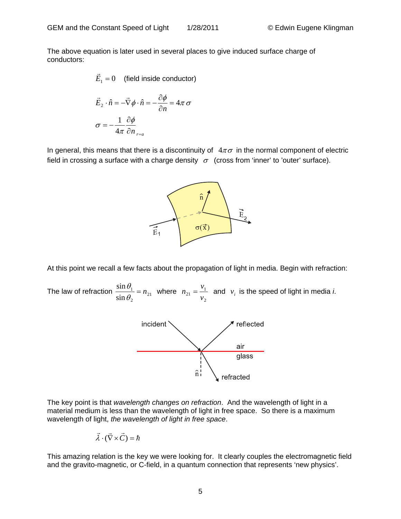The above equation is later used in several places to give induced surface charge of conductors:

$$
\vec{E}_1 = 0
$$
 (field inside conductor)

$$
\vec{E}_2 \cdot \hat{n} = -\vec{\nabla} \phi \cdot \hat{n} = -\frac{\partial \phi}{\partial n} = 4\pi \sigma
$$

$$
\sigma = -\frac{1}{4\pi} \frac{\partial \phi}{\partial n} \Big|_{r=a}
$$

In general, this means that there is a discontinuity of  $4\pi\sigma$  in the normal component of electric field in crossing a surface with a charge density  $\sigma$  (cross from 'inner' to 'outer' surface).



At this point we recall a few facts about the propagation of light in media. Begin with refraction:

The law of refraction  $\frac{\sin \theta_1}{\sin \theta_2} = n_{21}$ 2 1 sin  $\frac{\sin \theta_1}{\sin \theta_2}$  =  $n_{21}$  where 2  $v_2 = \frac{v_1}{v_2}$  $n_{21} = \frac{v_1}{v_2}$  and  $v_i$  is the speed of light in media *i*.



The key point is that *wavelength changes on refraction*. And the wavelength of light in a material medium is less than the wavelength of light in free space. So there is a maximum wavelength of light, *the wavelength of light in free space*.

$$
\vec{\lambda} \cdot (\vec{\nabla} \times \vec{C}) = \hbar
$$

This amazing relation is the key we were looking for. It clearly couples the electromagnetic field and the gravito-magnetic, or C-field, in a quantum connection that represents 'new physics'.